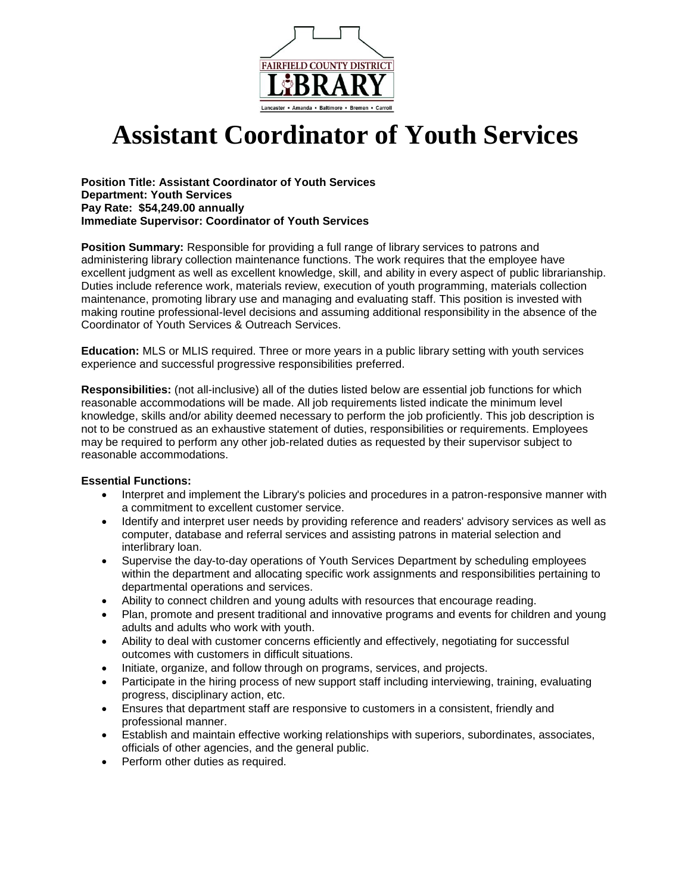

# **Assistant Coordinator of Youth Services**

**Position Title: Assistant Coordinator of Youth Services Department: Youth Services Pay Rate: \$54,249.00 annually Immediate Supervisor: Coordinator of Youth Services**

**Position Summary:** Responsible for providing a full range of library services to patrons and administering library collection maintenance functions. The work requires that the employee have excellent judgment as well as excellent knowledge, skill, and ability in every aspect of public librarianship. Duties include reference work, materials review, execution of youth programming, materials collection maintenance, promoting library use and managing and evaluating staff. This position is invested with making routine professional-level decisions and assuming additional responsibility in the absence of the Coordinator of Youth Services & Outreach Services.

**Education:** MLS or MLIS required. Three or more years in a public library setting with youth services experience and successful progressive responsibilities preferred.

**Responsibilities:** (not all-inclusive) all of the duties listed below are essential job functions for which reasonable accommodations will be made. All job requirements listed indicate the minimum level knowledge, skills and/or ability deemed necessary to perform the job proficiently. This job description is not to be construed as an exhaustive statement of duties, responsibilities or requirements. Employees may be required to perform any other job-related duties as requested by their supervisor subject to reasonable accommodations.

#### **Essential Functions:**

- Interpret and implement the Library's policies and procedures in a patron-responsive manner with a commitment to excellent customer service.
- Identify and interpret user needs by providing reference and readers' advisory services as well as computer, database and referral services and assisting patrons in material selection and interlibrary loan.
- Supervise the day-to-day operations of Youth Services Department by scheduling employees within the department and allocating specific work assignments and responsibilities pertaining to departmental operations and services.
- Ability to connect children and young adults with resources that encourage reading.
- Plan, promote and present traditional and innovative programs and events for children and young adults and adults who work with youth.
- Ability to deal with customer concerns efficiently and effectively, negotiating for successful outcomes with customers in difficult situations.
- Initiate, organize, and follow through on programs, services, and projects.
- Participate in the hiring process of new support staff including interviewing, training, evaluating progress, disciplinary action, etc.
- Ensures that department staff are responsive to customers in a consistent, friendly and professional manner.
- Establish and maintain effective working relationships with superiors, subordinates, associates, officials of other agencies, and the general public.
- Perform other duties as required.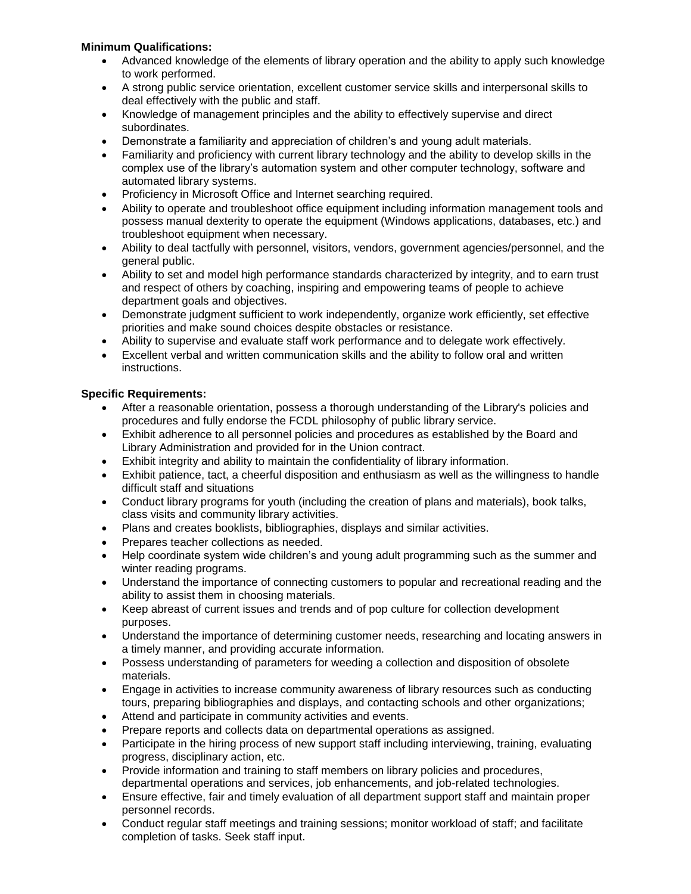## **Minimum Qualifications:**

- Advanced knowledge of the elements of library operation and the ability to apply such knowledge to work performed.
- A strong public service orientation, excellent customer service skills and interpersonal skills to deal effectively with the public and staff.
- Knowledge of management principles and the ability to effectively supervise and direct subordinates.
- Demonstrate a familiarity and appreciation of children's and young adult materials.
- Familiarity and proficiency with current library technology and the ability to develop skills in the complex use of the library's automation system and other computer technology, software and automated library systems.
- Proficiency in Microsoft Office and Internet searching required.
- Ability to operate and troubleshoot office equipment including information management tools and possess manual dexterity to operate the equipment (Windows applications, databases, etc.) and troubleshoot equipment when necessary.
- Ability to deal tactfully with personnel, visitors, vendors, government agencies/personnel, and the general public.
- Ability to set and model high performance standards characterized by integrity, and to earn trust and respect of others by coaching, inspiring and empowering teams of people to achieve department goals and objectives.
- Demonstrate judgment sufficient to work independently, organize work efficiently, set effective priorities and make sound choices despite obstacles or resistance.
- Ability to supervise and evaluate staff work performance and to delegate work effectively.
- Excellent verbal and written communication skills and the ability to follow oral and written instructions.

## **Specific Requirements:**

- After a reasonable orientation, possess a thorough understanding of the Library's policies and procedures and fully endorse the FCDL philosophy of public library service.
- Exhibit adherence to all personnel policies and procedures as established by the Board and Library Administration and provided for in the Union contract.
- Exhibit integrity and ability to maintain the confidentiality of library information.
- Exhibit patience, tact, a cheerful disposition and enthusiasm as well as the willingness to handle difficult staff and situations
- Conduct library programs for youth (including the creation of plans and materials), book talks, class visits and community library activities.
- Plans and creates booklists, bibliographies, displays and similar activities.
- Prepares teacher collections as needed.
- Help coordinate system wide children's and young adult programming such as the summer and winter reading programs.
- Understand the importance of connecting customers to popular and recreational reading and the ability to assist them in choosing materials.
- Keep abreast of current issues and trends and of pop culture for collection development purposes.
- Understand the importance of determining customer needs, researching and locating answers in a timely manner, and providing accurate information.
- Possess understanding of parameters for weeding a collection and disposition of obsolete materials.
- Engage in activities to increase community awareness of library resources such as conducting tours, preparing bibliographies and displays, and contacting schools and other organizations;
- Attend and participate in community activities and events.
- Prepare reports and collects data on departmental operations as assigned.
- Participate in the hiring process of new support staff including interviewing, training, evaluating progress, disciplinary action, etc.
- Provide information and training to staff members on library policies and procedures, departmental operations and services, job enhancements, and job-related technologies.
- Ensure effective, fair and timely evaluation of all department support staff and maintain proper personnel records.
- Conduct regular staff meetings and training sessions; monitor workload of staff; and facilitate completion of tasks. Seek staff input.